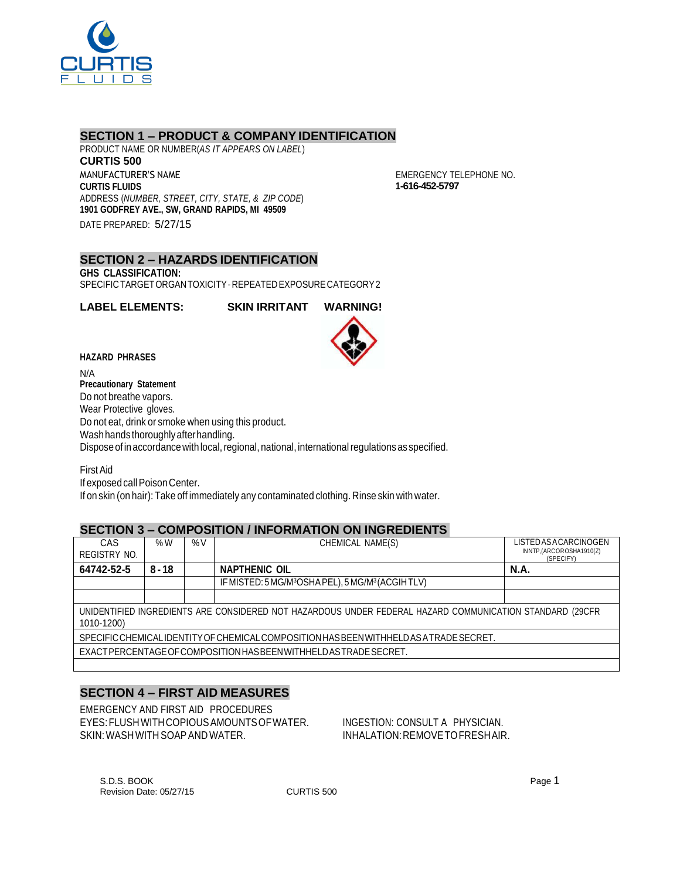

## **SECTION 1 – PRODUCT & COMPANY IDENTIFICATION**

PRODUCT NAME OR NUMBER(*AS IT APPEARS ON LABEL*) **CURTIS 500** MANUFACTURER'S NAME **CURTIS FLUIDS** ADDRESS (*NUMBER, STREET, CITY, STATE, & ZIP CODE*) **1901 GODFREY AVE., SW, GRAND RAPIDS, MI 49509** DATE PREPARED: 5/27/15

EMERGENCY TELEPHONE NO. **1-616-452-5797**

#### **SECTION 2 – HAZARDS IDENTIFICATION GHS CLASSIFICATION:**

SPECIFICTARGETORGANTOXICITY–REPEATEDEXPOSURECATEGORY2

**LABEL ELEMENTS: SKIN IRRITANT WARNING!**



#### **HAZARD PHRASES**

N/A **Precautionary Statement** Do not breathe vapors. Wear Protective gloves. Do not eat, drink or smoke when using this product. Wash hands thoroughly after handling. Dispose of in accordance with local, regional, national, international regulations as specified.

FirstAid If exposed call Poison Center. If on skin (on hair): Take off immediately any contaminated clothing. Rinse skin with water.

## **SECTION 3 – COMPOSITION / INFORMATION ON INGREDIENTS**

| CAS<br>REGISTRY NO.                                                                                                    | %W       | $\%V$ | CHEMICAL NAME(S)                                                          | LISTED AS A CARCINOGEN<br>INNTP,(ARCOROSHA1910(Z) |  |  |
|------------------------------------------------------------------------------------------------------------------------|----------|-------|---------------------------------------------------------------------------|---------------------------------------------------|--|--|
| 64742-52-5                                                                                                             | $8 - 18$ |       | <b>NAPTHENIC OIL</b>                                                      | (SPECIFY)<br><b>N.A.</b>                          |  |  |
|                                                                                                                        |          |       | IF MISTED: 5 MG/M <sup>3</sup> OSHA PEL), 5 MG/M <sup>3</sup> (ACGIH TLV) |                                                   |  |  |
|                                                                                                                        |          |       |                                                                           |                                                   |  |  |
| UNIDENTIFIED INGREDIENTS ARE CONSIDERED NOT HAZARDOUS UNDER FEDERAL HAZARD COMMUNICATION STANDARD (29CFR<br>1010-1200) |          |       |                                                                           |                                                   |  |  |
| SPECIFIC CHEMICALIDENTITY OF CHEMICAL COMPOSITION HAS BEEN WITHHELD AS A TRADE SECRET.                                 |          |       |                                                                           |                                                   |  |  |
| EXACTPERCENTAGE OF COMPOSITION HAS BEEN WITHHELD AS TRADE SECRET.                                                      |          |       |                                                                           |                                                   |  |  |
|                                                                                                                        |          |       |                                                                           |                                                   |  |  |

# **SECTION 4 – FIRST AID MEASURES**

EMERGENCY AND FIRST AID PROCEDURES EYES:FLUSHWITHCOPIOUSAMOUNTSOFWATER. INGESTION: CONSULT A PHYSICIAN. SKIN: WASH WITH SOAP AND WATER. IN THE INHALATION: REMOVE TO FRESHAIR.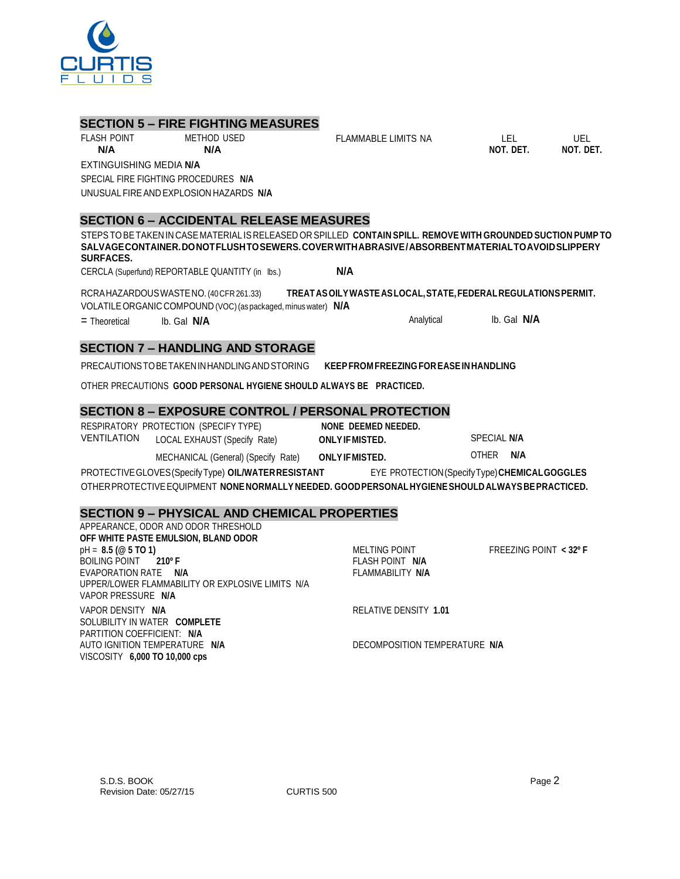

## **SECTION 5 – FIRE FIGHTING MEASURES**

FLASH POINT METHOD USED **N/A N/A**

EXTINGUISHING MEDIA **N/A**

SPECIAL FIRE FIGHTING PROCEDURES **N/A**

UNUSUALFIREAND EXPLOSION HAZARDS **N/A**

# **SECTION 6 – ACCIDENTAL RELEASE MEASURES**

STEPSTOBETAKEN IN CASE MATERIAL IS RELEASED OR SPILLED **CONTAIN SPILL. REMOVE WITH GROUNDED SUCTION PUMP TO SALVAGECONTAINER.DONOTFLUSHTOSEWERS.COVERWITHABRASIVE/ABSORBENTMATERIALTOAVOIDSLIPPERY SURFACES.**

FLAMMABLE LIMITS NA LEL UEL

**NOT. DET. NOT. DET.**

CERCLA (Superfund) REPORTABLE QUANTITY (in lbs.) **N/A**

RCRAHAZARDOUSWASTENO.(40CFR261.33) **TREATASOILYWASTEASLOCAL,STATE,FEDERALREGULATIONSPERMIT.** VOLATILEORGANIC COMPOUND (VOC)(as packaged, minus water) **N/A**

= Theoretical lb. Gal **N/A** Analytical lb. Gal **N/A**

# **SECTION 7 – HANDLING AND STORAGE**

PRECAUTIONSTOBETAKENINHANDLINGANDSTORING **KEEPFROM FREEZING FOREASEINHANDLING**

OTHER PRECAUTIONS **GOOD PERSONAL HYGIENE SHOULD ALWAYS BE PRACTICED.**

# **SECTION 8 – EXPOSURE CONTROL / PERSONAL PROTECTION**

|             | RESPIRATORY PROTECTION (SPECIFY TYPE) | NONE DEEMED NEEDED.    |                                    |
|-------------|---------------------------------------|------------------------|------------------------------------|
| VENTILATION | LOCAL EXHAUST (Specify Rate)          | <b>ONLY IF MISTED.</b> | <b>SPECIAL N/A</b>                 |
|             |                                       |                        | <b>AIA</b><br>$\sim$ $\sim$ $\sim$ |

MECHANICAL (General) (Specify Rate) **ONLYIFMISTED.** OTHER **N/A**

PROTECTIVEGLOVES(SpecifyType) **OIL/WATERRESISTANT** EYE PROTECTION(SpecifyType)**CHEMICALGOGGLES** OTHERPROTECTIVEEQUIPMENT **NONENORMALLY NEEDED. GOODPERSONALHYGIENESHOULDALWAYSBEPRACTICED.**

# **SECTION 9 – PHYSICAL AND CHEMICAL PROPERTIES**

| APPEARANCE, ODOR AND ODOR THRESHOLD              |                               |                          |
|--------------------------------------------------|-------------------------------|--------------------------|
| OFF WHITE PASTE EMULSION, BLAND ODOR             |                               |                          |
| $pH = 8.5 (@ 5 TO 1)$                            | <b>MELTING POINT</b>          | FREEZING POINT $<$ 32° F |
| BOILING POINT 210°F                              | FLASH POINT N/A               |                          |
| EVAPORATION RATE N/A                             | FLAMMABILITY N/A              |                          |
| UPPER/LOWER FLAMMABILITY OR EXPLOSIVE LIMITS N/A |                               |                          |
| VAPOR PRESSURE N/A                               |                               |                          |
| VAPOR DENSITY N/A                                | RELATIVE DENSITY 1.01         |                          |
| SOLUBILITY IN WATER COMPLETE                     |                               |                          |
| PARTITION COEFFICIENT: N/A                       |                               |                          |
| AUTO IGNITION TEMPERATURE N/A                    | DECOMPOSITION TEMPERATURE N/A |                          |
| VISCOSITY 6,000 TO 10,000 cps                    |                               |                          |
|                                                  |                               |                          |